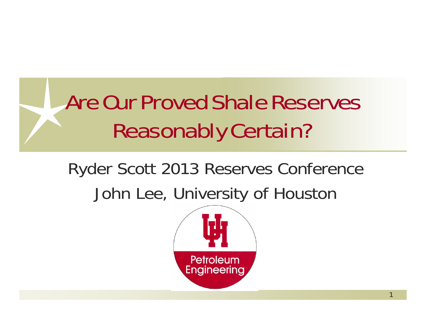# Are Our Proved Shale Reserves Reasonably Certain?

## Ryder Scott 2013 Reserves Conference John Lee, University of Houston

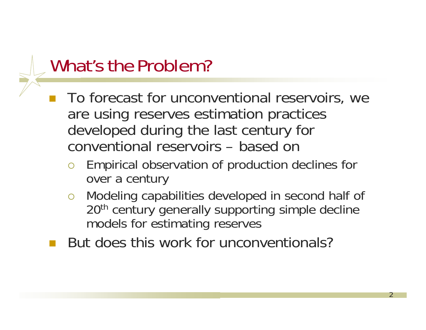#### What's the Problem?

- **CONTRACTOR**  To forecast for unconventional reservoirs, we are using reserves estimation practices developed during the last century for conventional reservoirs – based on
	- $\bigcirc$  Empirical observation of production declines for over a century
	- $\bigcirc$  Modeling capabilities developed in second half of 20<sup>th</sup> century generally supporting simple decline models for estimating reserves

2

But does this work for unconventionals?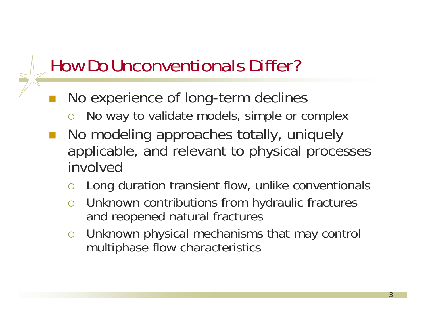#### How Do Unconventionals Differ?

- **CONTRACTOR**  No experience of long-term declines
	- $\bigcirc$ No way to validate models, simple or complex
- No modeling approaches totally, uniquely applicable, and relevant to physical processes involved
	- $\bigcirc$ Long duration transient flow, unlike conventionals
	- $\overline{O}$  Unknown contributions from hydraulic fractures and reopened natural fractures
	- $\overline{O}$  Unknown physical mechanisms that may control multiphase flow characteristics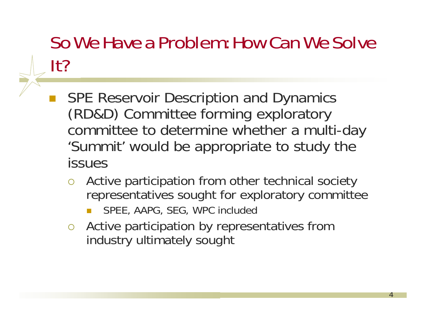## So We Have a Problem: How Can We Solve It?

- **CONTRACTOR**  SPE Reservoir Description and Dynamics (RD&D) Committee forming exploratory committee to determine whether a multi-day 'Summit' would be appropriate to study the issues
	- O Active participation from other technical society representatives sought for exploratory committee
		- $\Box$ SPEE, AAPG, SEG, WPC included
	- Active participation by representatives from industry ultimately sought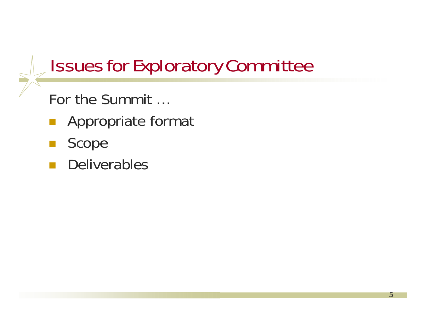## Issues for Exploratory Committee

5

For the Summit …

- $\mathbb{R}^n$ Appropriate format
- **Contract Contract Contract Contract Contract Contract Contract Contract Contract Contract Contract Contract C** Scope
- Deliverables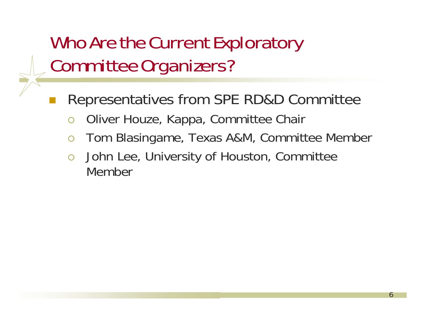## Who Are the Current Exploratory Committee Organizers?

- Representatives from SPE RD&D Committee
	- $\bigcap$ Oliver Houze, Kappa, Committee Chair
	- $\bigcap$ Tom Blasingame, Texas A&M, Committee Member

6

 $\bigcirc$  John Lee, University of Houston, Committee Member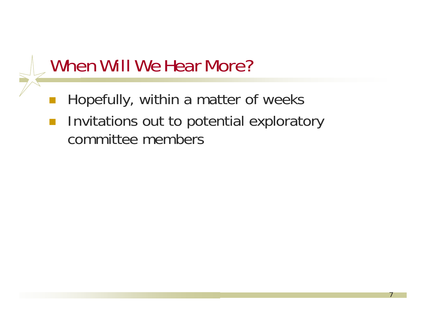#### When Will We Hear More?

- Hopefully, within a matter of weeks
- $\mathcal{L}_{\mathcal{A}}$  Invitations out to potential exploratory committee members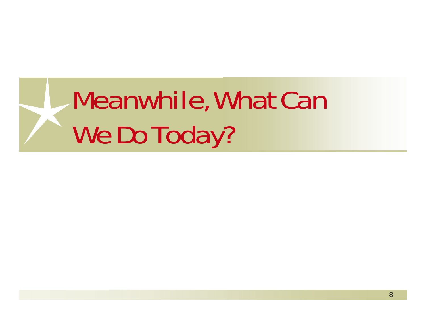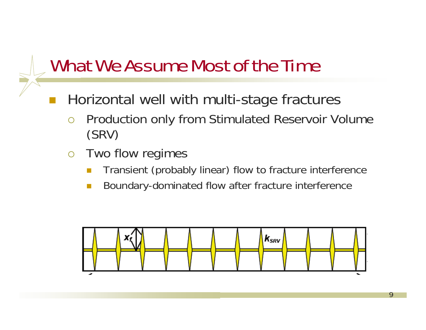#### What We Assume Most of the Time

- Horizontal well with multi-stage fractures
	- $\bigcirc$  Production only from Stimulated Reservoir Volume (SRV)
	- $\bigcirc$  Two flow regimes
		- $\mathcal{C}^{\mathcal{A}}$ Transient (probably linear) flow to fracture interference
		- $\mathcal{C}^{\mathcal{A}}$ Boundary-dominated flow after fracture interference

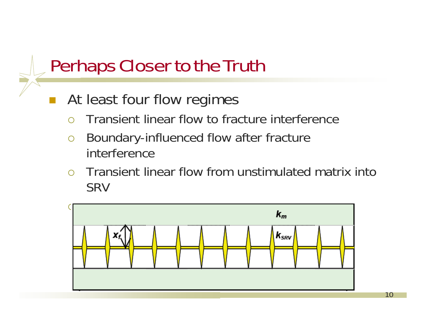#### Perhaps Closer to the Truth

- At least four flow regimes
	- $\cap$ Transient linear flow to fracture interference
	- $\bigcirc$  Boundary-influenced flow after fracture interference
	- $\bigcirc$  Transient linear flow from unstimulated matrix into SRV

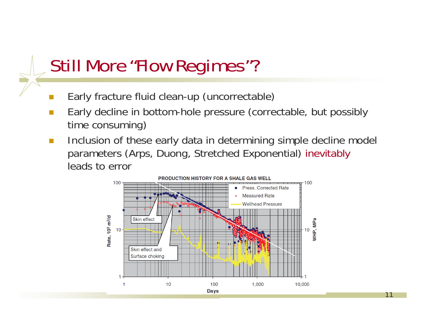#### Still More "Flow Regimes"?

- $\Box$ Early fracture fluid clean-up (uncorrectable)
- П Early decline in bottom-hole pressure (correctable, but possibly time consuming)
- $\sim$  Inclusion of these early data in determining simple decline model parameters (Arps, Duong, Stretched Exponential) inevitably leads to error

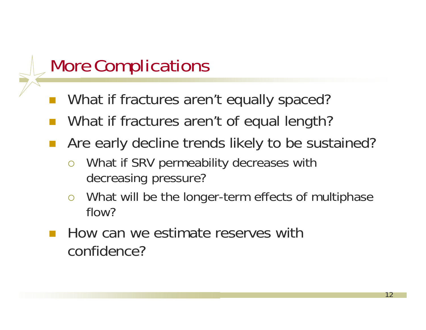#### More Complications

- What if fractures aren't equally spaced?
- What if fractures aren't of equal length?
- **Contract Contract Contract Contract Contract Contract Contract Contract Contract Contract Contract Contract C**  Are early decline trends likely to be sustained?
	- $\bigcirc$  What if SRV permeability decreases with decreasing pressure?
	- $\overline{O}$  What will be the longer-term effects of multiphase flow?
- How can we estimate reserves with confidence?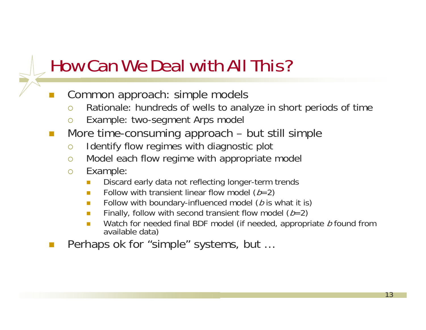## How Can We Deal with All This?

- Common approach: simple models
	- $\bigcirc$ Rationale: hundreds of wells to analyze in short periods of time
	- $\Omega$ Example: two-segment Arps model
- $\sim$  More time-consuming approach – but still simple
	- $\circ$ Identify flow regimes with diagnostic plot
	- $\bigcirc$ Model each flow regime with appropriate model
	- $\circ$  Example:
		- F Discard early data not reflecting longer-term trends
		- п **Follow with transient linear flow model (** $b=2$ **)**
		- $\mathcal{L}_{\mathcal{A}}$ **Follow with boundary-influenced model (b is what it is)**
		- п **Finally, follow with second transient flow model (** $b=2$ **)**
		- п ■ Watch for needed final BDF model (if needed, appropriate *b* found from available data)
- Perhaps ok for "simple" systems, but …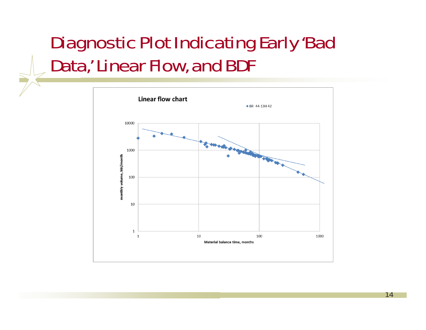## Diagnostic Plot Indicating Early 'Bad Data,' Linear Flow, and BDF

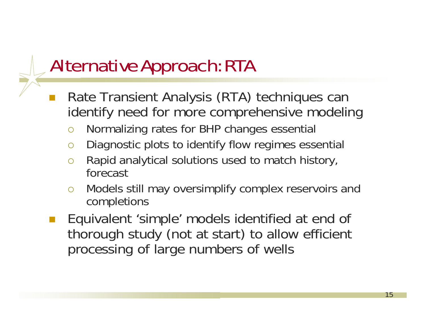## Alternative Approach: RTA

- Rate Transient Analysis (RTA) techniques can identify need for more comprehensive modeling
	- $\bigcirc$ Normalizing rates for BHP changes essential
	- $\bigcirc$ Diagnostic plots to identify flow regimes essential
	- $\bigcirc$  Rapid analytical solutions used to match history, forecast
	- $\bigcirc$  Models still may oversimplify complex reservoirs and completions
- Equivalent 'simple' models identified at end of thorough study (not at start) to allow efficient processing of large numbers of wells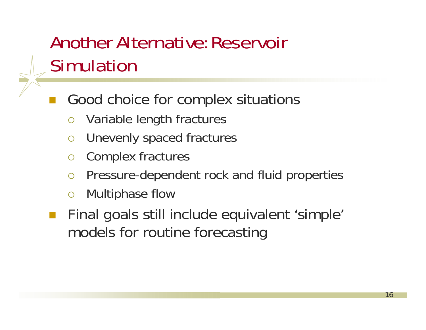## Another Alternative: Reservoir Simulation

- Good choice for complex situations
	- $\bigcirc$ Variable length fractures
	- $\overline{O}$ Unevenly spaced fractures
	- $\overline{O}$ Complex fractures
	- $\overline{O}$ Pressure-dependent rock and fluid properties
	- $\overline{O}$ Multiphase flow
- Final goals still include equivalent 'simple' models for routine forecasting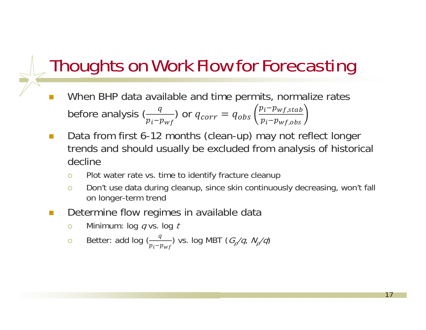#### Thoughts on Work Flow for Forecasting

- $\Box$  When BHP data available and time permits, normalize rates before analysis  $\genfrac{(}{)}{}{}{q}{p_i-p_{wf}}$  or  $q_{corr}=q_{obs}$  $p_i–p_{wf,stab}$  $p_i{-}p_{wf,obs}$
- **T**  Data from first 6-12 months (clean-up) may not reflect longer trends and should usually be excluded from analysis of historical decline
	- $\Omega$ Plot water rate vs. time to identify fracture cleanup
	- $\bigcirc$  Don't use data during cleanup, since skin continuously decreasing, won't fall on longer-term trend

- $\Box$  Determine flow regimes in available data
	- $\circ$  $\circ$  Minimum: log q vs. log t
	- $\circ$  $\circ$  Better: add log ( $\frac{q}{p_i-p_{wf}}$ ) vs. log MBT ( $G_p/q$ ,  $N_p/q$ )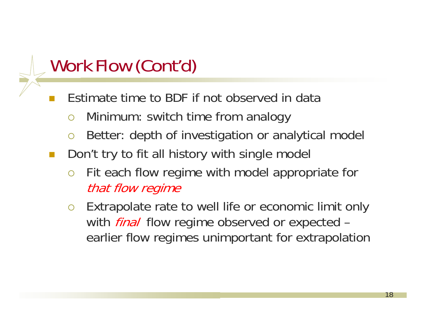## Work Flow (Cont'd)

- Estimate time to BDF if not observed in data
	- $\overline{O}$ Minimum: switch time from analogy
	- $\bigcirc$ Better: depth of investigation or analytical model
- Don't try to fit all history with single model
	- $\bigcirc$  Fit each flow regime with model appropriate for that flow regime
	- $\bigcirc$  Extrapolate rate to well life or economic limit only with *final* flow regime observed or expected – earlier flow regimes unimportant for extrapolation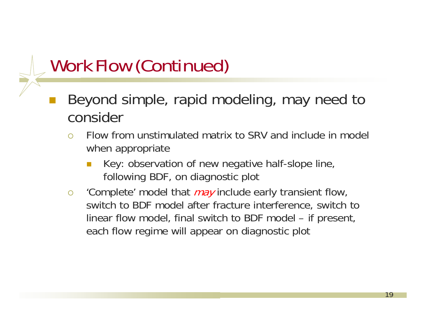## Work Flow (Continued)

- Beyond simple, rapid modeling, may need to consider
	- $\bigcirc$  Flow from unstimulated matrix to SRV and include in model when appropriate
		- П Key: observation of new negative half-slope line, following BDF, on diagnostic plot
	- $\circ$ 'Complete' model that *may* include early transient flow, switch to BDF model after fracture interference, switch to linear flow model, final switch to BDF model – if present, each flow regime will appear on diagnostic plot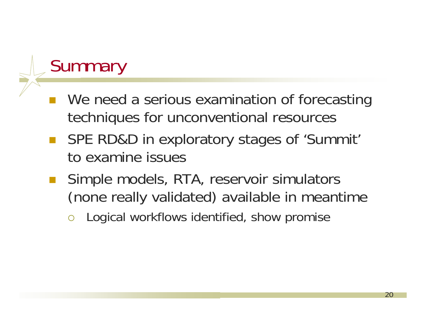#### **Summary**

- We need a serious examination of forecasting techniques for unconventional resources
- SPE RD&D in exploratory stages of 'Summit' to examine issues
- Simple models, RTA, reservoir simulators (none really validated) available in meantime
	- $\overline{O}$ Logical workflows identified, show promise